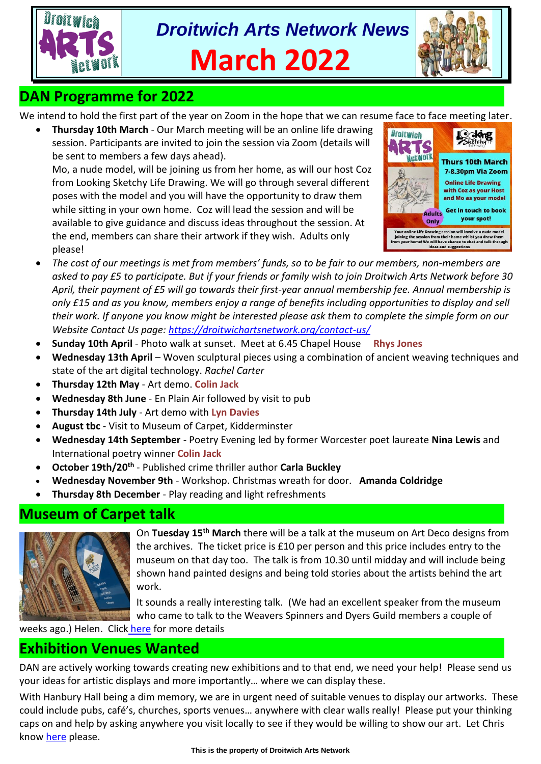



# **DAN Programme for 2022**

We intend to hold the first part of the year on Zoom in the hope that we can resume face to face meeting later.

• **Thursday 10th March** - Our March meeting will be an online life drawing session. Participants are invited to join the session via Zoom (details will be sent to members a few days ahead).

Mo, a nude model, will be joining us from her home, as will our host Coz from Looking Sketchy Life Drawing. We will go through several different poses with the model and you will have the opportunity to draw them while sitting in your own home. Coz will lead the session and will be available to give guidance and discuss ideas throughout the session. At the end, members can share their artwork if they wish. Adults only please!



- *The cost of our meetings is met from members' funds, so to be fair to our members, non-members are asked to pay £5 to participate. But if your friends or family wish to join Droitwich Arts Network before 30 April, their payment of £5 will go towards their first-year annual membership fee. Annual membership is only £15 and as you know, members enjoy a range of benefits including opportunities to display and sell their work. If anyone you know might be interested please ask them to complete the simple form on our Website Contact Us page: [https://droitwichartsnetwork.org/contact-us/](https://l.facebook.com/l.php?u=https%3A%2F%2Fdroitwichartsnetwork.org%2Fcontact-us%2F%3Ffbclid%3DIwAR0vMyKybgcA2s16rp7QGIXzCobRFwxzDT9oahgeGjBxUL4R5Z3kORGBxCQ&h=AT1OFBvH5m7VlDVW8QuiacIk98mznrQwD7DWmMcsn5qfd2Eht1KFrhVi6_-GLS7S92NIc3aq4CARdY7v_W2pWax11Po3RUT1N_Vun_4ecVbF8KRZpzCj5Ava4QbQiCIZ8A&__tn__=-U-UK-R&c%5b0%5d=AT02kto_O2T7bMHd7cnkj1ajWDHh0GnfoAVq4pQdSaf1G2r52AthIpI-SmJsNPSwUrshrDj27gBGMCA6JjT-ozOseUS2IDwypL2qFKQBdf0wraJrbqXZHEELP2YHdRykHV_Mbd-S9smP_knvQHv5uZPfQ6C4pl-IY6Q)*
- **Sunday 10th April** Photo walk at sunset. Meet at 6.45 Chapel House **Rhys Jones**
- **Wednesday 13th April** Woven sculptural pieces using a combination of ancient weaving techniques and state of the art digital technology. *Rachel Carter*
- **Thursday 12th May** Art demo. **Colin Jack**
- **Wednesday 8th June** En Plain Air followed by visit to pub
- **Thursday 14th July** Art demo with **Lyn Davies**
- **August tbc** Visit to Museum of Carpet, Kidderminster
- **Wednesday 14th September** Poetry Evening led by former Worcester poet laureate **Nina Lewis** and International poetry winner **Colin Jack**
- **October 19th/20th** Published crime thriller author **Carla Buckley**
- **Wednesday November 9th** Workshop. Christmas wreath for door. **Amanda Coldridge**
- **Thursday 8th December** Play reading and light refreshments

#### **Museum of Carpet talk**



On **Tuesday 15th March** there will be a talk at the museum on Art Deco designs from the archives. The ticket price is £10 per person and this price includes entry to the museum on that day too. The talk is from 10.30 until midday and will include being shown hand painted designs and being told stories about the artists behind the art work.

It sounds a really interesting talk. (We had an excellent speaker from the museum who came to talk to the Weavers Spinners and Dyers Guild members a couple of

weeks ago.) Helen. Click [here](https://museumofcarpet.org/) for more details

#### **Exhibition Venues Wanted**

DAN are actively working towards creating new exhibitions and to that end, we need your help! Please send us your ideas for artistic displays and more importantly… where we can display these.

With Hanbury Hall being a dim memory, we are in urgent need of suitable venues to display our artworks. These could include pubs, café's, churches, sports venues… anywhere with clear walls really! Please put your thinking caps on and help by asking anywhere you visit locally to see if they would be willing to show our art. Let Chris kno[w here](mailto:chrisndonwalker@btinternet.com) please.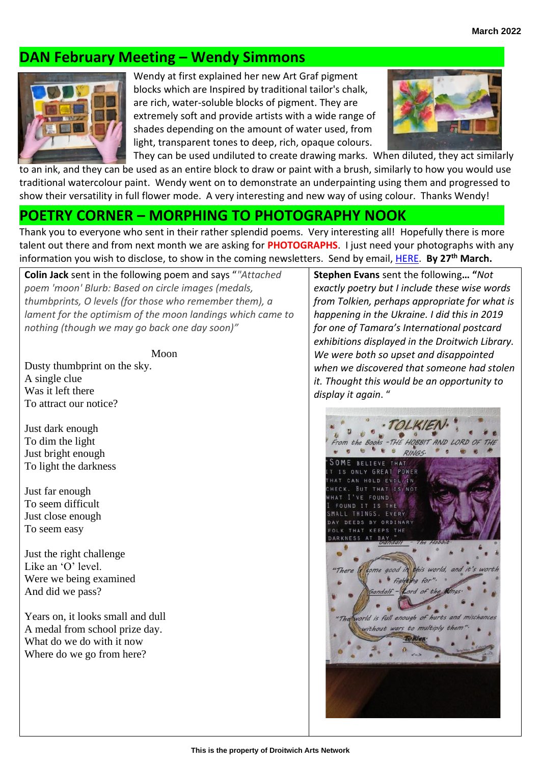# **DAN February Meeting – Wendy Simmons**



Wendy at first explained her new Art Graf pigment blocks which are Inspired by traditional tailor's chalk, are rich, water-soluble blocks of pigment. They are extremely soft and provide artists with a wide range of shades depending on the amount of water used, from light, transparent tones to deep, rich, opaque colours.



They can be used undiluted to create drawing marks. When diluted, they act similarly to an ink, and they can be used as an entire block to draw or paint with a brush, similarly to how you would use traditional watercolour paint. Wendy went on to demonstrate an underpainting using them and progressed to show their versatility in full flower mode. A very interesting and new way of using colour. Thanks Wendy!

### **POETRY CORNER – MORPHING TO PHOTOGRAPHY NOOK**

Thank you to everyone who sent in their rather splendid poems. Very interesting all! Hopefully there is more talent out there and from next month we are asking for **PHOTOGRAPHS**. I just need your photographs with any information you wish to disclose, to show in the coming newsletters. Send by email, [HERE.](mailto:tina.watkins.ntlworld@gmail.com) **By 27th March.**

**Colin Jack** sent in the following poem and says "*"Attached poem 'moon' Blurb: Based on circle images (medals, thumbprints, O levels (for those who remember them), a lament for the optimism of the moon landings which came to nothing (though we may go back one day soon)"*

Moon

Dusty thumbprint on the sky. A single clue Was it left there To attract our notice?

Just dark enough To dim the light Just bright enough To light the darkness

Just far enough To seem difficult Just close enough To seem easy

Just the right challenge Like an 'O' level. Were we being examined And did we pass?

Years on, it looks small and dull A medal from school prize day. What do we do with it now Where do we go from here?

**Stephen Evans** sent the following**… "***Not exactly poetry but I include these wise words from Tolkien, perhaps appropriate for what is happening in the Ukraine. I did this in 2019 for one of Tamara's International postcard exhibitions displayed in the Droitwich Library. We were both so upset and disappointed when we discovered that someone had stolen it. Thought this would be an opportunity to display it again*. "